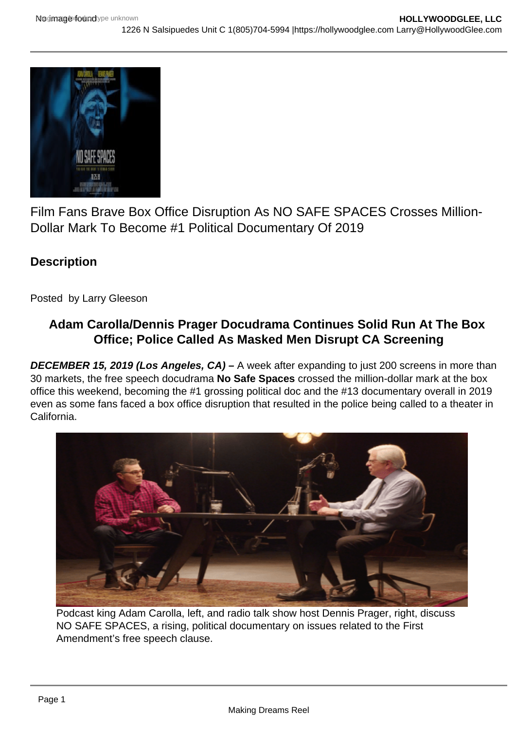

Film Fans Brave Box Office Disruption As NO SAFE SPACES Crosses Million-Dollar Mark To Become #1 Political Documentary Of 2019

## **Description**

Posted by Larry Gleeson

## **Adam Carolla/Dennis Prager Docudrama Continues Solid Run At The Box Office; Police Called As Masked Men Disrupt CA Screening**

**DECEMBER 15, 2019 (Los Angeles, CA) –** A week after expanding to just 200 screens in more than 30 markets, the free speech docudrama **No Safe Spaces** crossed the million-dollar mark at the box office this weekend, becoming the #1 grossing political doc and the #13 documentary overall in 2019 even as some fans faced a box office disruption that resulted in the police being called to a theater in California.



Podcast king Adam Carolla, left, and radio talk show host Dennis Prager, right, discuss NO SAFE SPACES, a rising, political documentary on issues related to the First Amendment's free speech clause.